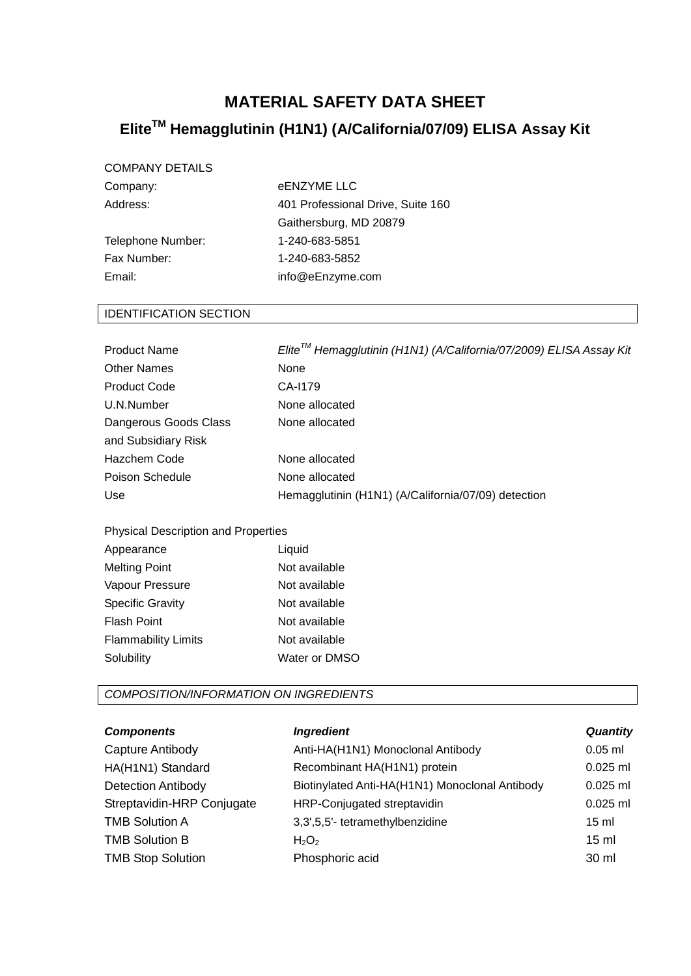## **MATERIAL SAFETY DATA SHEET**

# **EliteTM Hemagglutinin (H1N1) (A/California/07/09) ELISA Assay Kit**

## COMPANY DETAILS

| Company:          | eENZYME LLC                       |
|-------------------|-----------------------------------|
| Address:          | 401 Professional Drive, Suite 160 |
|                   | Gaithersburg, MD 20879            |
| Telephone Number: | 1-240-683-5851                    |
| Fax Number:       | 1-240-683-5852                    |
| Email:            | info@eEnzyme.com                  |
|                   |                                   |

## IDENTIFICATION SECTION

| <b>Product Name</b>   | Elite™ Hemagglutinin (H1N1) (A/California/07/2009) ELISA Assay Kit |
|-----------------------|--------------------------------------------------------------------|
| <b>Other Names</b>    | None                                                               |
| <b>Product Code</b>   | CA-1179                                                            |
| U.N.Number            | None allocated                                                     |
| Dangerous Goods Class | None allocated                                                     |
| and Subsidiary Risk   |                                                                    |
| <b>Hazchem Code</b>   | None allocated                                                     |
| Poison Schedule       | None allocated                                                     |
| <b>Use</b>            | Hemagglutinin (H1N1) (A/California/07/09) detection                |

Physical Description and Properties

| Appearance                 | Liquid        |
|----------------------------|---------------|
| <b>Melting Point</b>       | Not available |
| Vapour Pressure            | Not available |
| <b>Specific Gravity</b>    | Not available |
| <b>Flash Point</b>         | Not available |
| <b>Flammability Limits</b> | Not available |
| Solubility                 | Water or DMSO |

*COMPOSITION/INFORMATION ON INGREDIENTS*

| <b>Components</b>          | <b>Ingredient</b>                              | <b>Quantity</b> |
|----------------------------|------------------------------------------------|-----------------|
| Capture Antibody           | Anti-HA(H1N1) Monoclonal Antibody              | $0.05$ ml       |
| HA(H1N1) Standard          | Recombinant HA(H1N1) protein                   | $0.025$ ml      |
| <b>Detection Antibody</b>  | Biotinylated Anti-HA(H1N1) Monoclonal Antibody | $0.025$ ml      |
| Streptavidin-HRP Conjugate | HRP-Conjugated streptavidin                    | $0.025$ ml      |
| <b>TMB Solution A</b>      | 3,3',5,5'- tetramethylbenzidine                | $15 \text{ ml}$ |
| <b>TMB Solution B</b>      | $H_2O_2$                                       | $15 \text{ ml}$ |
| <b>TMB Stop Solution</b>   | Phosphoric acid                                | 30 ml           |
|                            |                                                |                 |